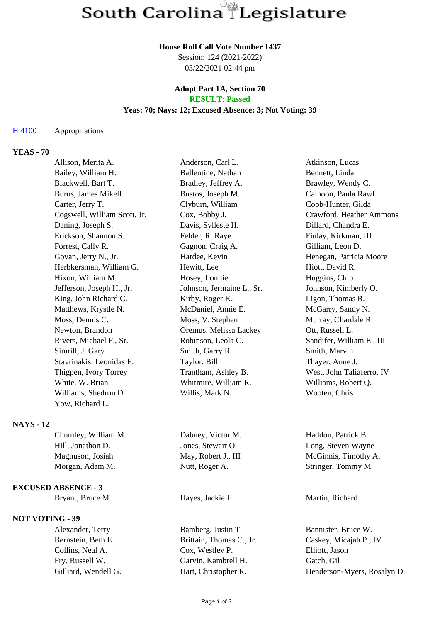#### **House Roll Call Vote Number 1437**

Session: 124 (2021-2022) 03/22/2021 02:44 pm

#### **Adopt Part 1A, Section 70 RESULT: Passed**

## **Yeas: 70; Nays: 12; Excused Absence: 3; Not Voting: 39**

### H 4100 Appropriations

## **YEAS - 70**

| Allison, Merita A.           | Anderson, Carl L.         | Atkinson, Lucas           |
|------------------------------|---------------------------|---------------------------|
| Bailey, William H.           | Ballentine, Nathan        | Bennett, Linda            |
| Blackwell, Bart T.           | Bradley, Jeffrey A.       | Brawley, Wendy C.         |
| Burns, James Mikell          | Bustos, Joseph M.         | Calhoon, Paula Rawl       |
| Carter, Jerry T.             | Clyburn, William          | Cobb-Hunter, Gilda        |
| Cogswell, William Scott, Jr. | Cox, Bobby J.             | Crawford, Heather Ammons  |
| Daning, Joseph S.            | Davis, Sylleste H.        | Dillard, Chandra E.       |
| Erickson, Shannon S.         | Felder, R. Raye           | Finlay, Kirkman, III      |
| Forrest, Cally R.            | Gagnon, Craig A.          | Gilliam, Leon D.          |
| Govan, Jerry N., Jr.         | Hardee, Kevin             | Henegan, Patricia Moore   |
| Herbkersman, William G.      | Hewitt, Lee               | Hiott, David R.           |
| Hixon, William M.            | Hosey, Lonnie             | Huggins, Chip             |
| Jefferson, Joseph H., Jr.    | Johnson, Jermaine L., Sr. | Johnson, Kimberly O.      |
| King, John Richard C.        | Kirby, Roger K.           | Ligon, Thomas R.          |
| Matthews, Krystle N.         | McDaniel, Annie E.        | McGarry, Sandy N.         |
| Moss, Dennis C.              | Moss, V. Stephen          | Murray, Chardale R.       |
| Newton, Brandon              | Oremus, Melissa Lackey    | Ott, Russell L.           |
| Rivers, Michael F., Sr.      | Robinson, Leola C.        | Sandifer, William E., III |
| Simrill, J. Gary             | Smith, Garry R.           | Smith, Marvin             |
| Stavrinakis, Leonidas E.     | Taylor, Bill              | Thayer, Anne J.           |
| Thigpen, Ivory Torrey        | Trantham, Ashley B.       | West, John Taliaferro, IV |
| White, W. Brian              | Whitmire, William R.      | Williams, Robert Q.       |
| Williams, Shedron D.         | Willis, Mark N.           | Wooten, Chris             |
| Yow, Richard L.              |                           |                           |

# **NAYS - 12**

| Chumley, William M. | Dabney, Victor M.   | Haddon, Patrick B.   |
|---------------------|---------------------|----------------------|
| Hill, Jonathon D.   | Jones, Stewart O.   | Long, Steven Wayne   |
| Magnuson, Josiah    | May, Robert J., III | McGinnis, Timothy A. |
| Morgan, Adam M.     | Nutt, Roger A.      | Stringer, Tommy M.   |

#### **EXCUSED ABSENCE - 3**

Bryant, Bruce M. **Hayes, Jackie E.** Martin, Richard

## **NOT VOTING - 39**

Alexander, Terry Bamberg, Justin T. Bannister, Bruce W. Collins, Neal A. Cox, Westley P. Elliott, Jason Fry, Russell W. Garvin, Kambrell H. Gatch, Gil

Bernstein, Beth E. Brittain, Thomas C., Jr. Caskey, Micajah P., IV Gilliard, Wendell G. **Hart, Christopher R.** Henderson-Myers, Rosalyn D.